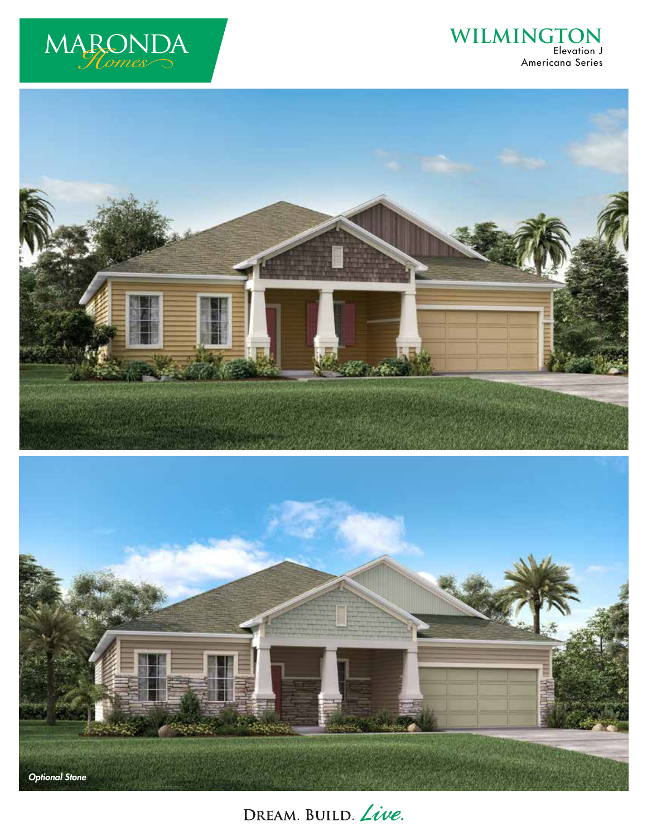

## WILMINGTON Americana Series





DREAM. BUILD. Live.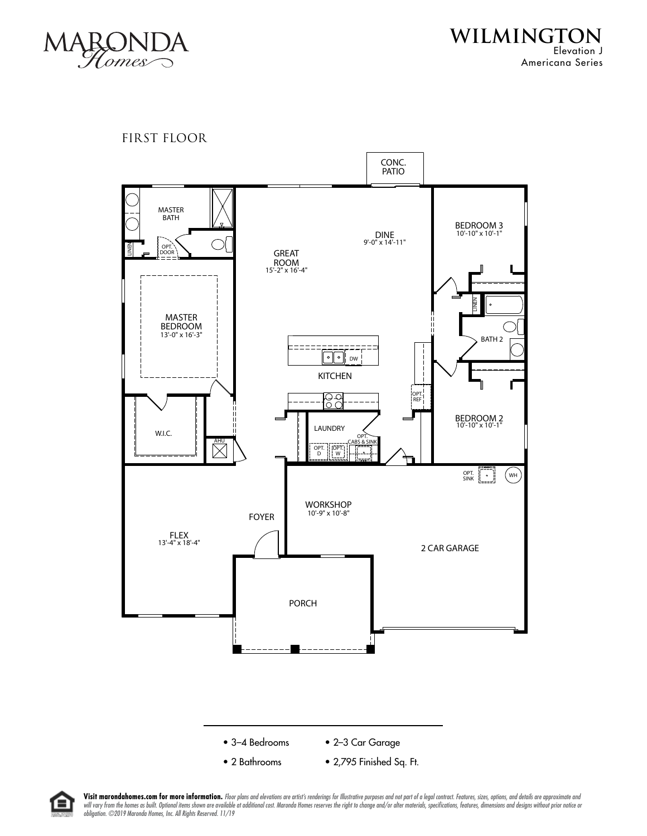

**WILMINGTON** Elevation J Americana Series

FIRST FLOOR





Visit marondahomes.com for more information. Floor plans and elevations are artist's renderings for Illustrative purposes and not part of a legal contract. Features, sizes, options, and details are approximate and will vary from the homes as built. Optional items shown are available at additional cost. Maronda Homes reserves the right to change and/or alter materials, specifications, features, dimensions and designs without prior no *obligation. ©2019 Maronda Homes, Inc. All Rights Reserved. 11/19*